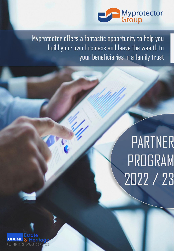

Myprotector offers a fantastic opportunity to help you build your own business and leave the wealth to your beneficiaries in a family trust

# PARTNER PROGRAM 2022 / 23

Estate **ONLINE** PLANNING WRAP SERV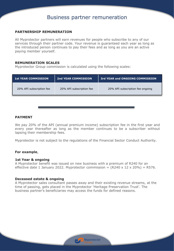# Business partner remuneration

### **PARTNERSHIP REMUNERATION**

All Myprotector partners will earn revenues for people who subscribe to any of our services through their partner code. Your revenue is guaranteed each year as long as the introduced person continues to pay their fees and as long as you are an active paying member yourself.

#### **REMUNERATION SCALES**

Myprotector Group commission is calculated using the following scales:

| <b>1st YEAR COMMISSION</b> | <b>2nd YEAR COMMISSION</b> | 3rd YEAR and ONGOING COMMISSION  |
|----------------------------|----------------------------|----------------------------------|
| 20% API subscription fee   | 20% API subscription fee   | 20% API subscription fee ongoing |
|                            |                            |                                  |

#### **PAYMENT**

We pay 20% of the API (annual premium income) subscription fee in the first year and every year thereafter as long as the member continues to be a subscriber without lapsing their membership fees.

Myprotector is not subject to the regulations of the Financial Sector Conduct Authority.

#### **For example**,

#### **1st Year & ongoing**

A Myprotector benefit was issued on new business with a premium of R240 for an effective date 1 January 2022. Myprotector commission =  $(R240 \times 12 \times 20\%)$  = R576.

#### **Deceased estate & ongoing**

A Myprotector sales consultant passes away and their existing revenue streams, at the time of passing, gets placed in the Myprotector 'Heritage Preservation Trust'. The business partner's beneficiaries may access the funds for defined reasons.